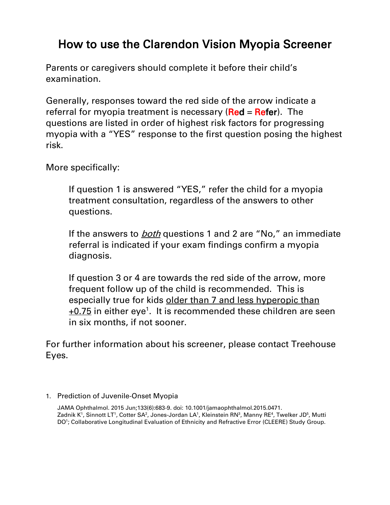## How to use the Clarendon Vision Myopia Screener

Parents or caregivers should complete it before their child's examination.

Generally, responses toward the red side of the arrow indicate a referral for myopia treatment is necessary ( $Red = Refer$ ). The questions are listed in order of highest risk factors for progressing myopia with a "YES" response to the first question posing the highest risk.

More specifically:

If question 1 is answered "YES," refer the child for a myopia treatment consultation, regardless of the answers to other questions.

If the answers to **both** questions 1 and 2 are "No," an immediate referral is indicated if your exam findings confirm a myopia diagnosis.

If question 3 or 4 are towards the red side of the arrow, more frequent follow up of the child is recommended. This is especially true for kids older than 7 and less hyperopic than  $+0.75$  in either eye<sup>1</sup>. It is recommended these children are seen in six months, if not sooner.

For further information about his screener, please contact Treehouse Eyes.

## 1. Prediction of Juvenile-Onset Myopia

JAMA [Ophthalmol.](https://www.ncbi.nlm.nih.gov/pubmed/25837970) 2015 Jun;133(6):683-9. doi: 10.1001/jamaophthalmol.2015.0471. [Zadnik](https://www.ncbi.nlm.nih.gov/pubmed/?term=Zadnik%20K%5BAuthor%5D&cauthor=true&cauthor_uid=25837970) K<sup>1</sup>, [Sinnott](https://www.ncbi.nlm.nih.gov/pubmed/?term=Sinnott%20LT%5BAuthor%5D&cauthor=true&cauthor_uid=25837970) LT<sup>1</sup>, [Cotter](https://www.ncbi.nlm.nih.gov/pubmed/?term=Cotter%20SA%5BAuthor%5D&cauthor=true&cauthor_uid=25837970) SA<sup>2</sup>, [Jones-Jordan](https://www.ncbi.nlm.nih.gov/pubmed/?term=Jones-Jordan%20LA%5BAuthor%5D&cauthor=true&cauthor_uid=25837970) LA<sup>1</sup>, [Kleinstein](https://www.ncbi.nlm.nih.gov/pubmed/?term=Kleinstein%20RN%5BAuthor%5D&cauthor=true&cauthor_uid=25837970) RN<sup>3</sup>, [Manny](https://www.ncbi.nlm.nih.gov/pubmed/?term=Manny%20RE%5BAuthor%5D&cauthor=true&cauthor_uid=25837970) RE<sup>4</sup>, [Twelker](https://www.ncbi.nlm.nih.gov/pubmed/?term=Twelker%20JD%5BAuthor%5D&cauthor=true&cauthor_uid=25837970) JD<sup>5</sup>, [Mutti](https://www.ncbi.nlm.nih.gov/pubmed/?term=Mutti%20DO%5BAuthor%5D&cauthor=true&cauthor_uid=25837970) [DO](https://www.ncbi.nlm.nih.gov/pubmed/?term=Mutti%20DO%5BAuthor%5D&cauthor=true&cauthor_uid=25837970)<sup>1</sup>; [Collaborative](https://www.ncbi.nlm.nih.gov/pubmed/?term=Collaborative%20Longitudinal%20Evaluation%20of%20Ethnicity%20and%20Refractive%20Error%20(CLEERE)%20Study%20Group%5BCorporate%20Author%5D) Longitudinal Evaluation of Ethnicity and Refractive Error (CLEERE) Study Group.